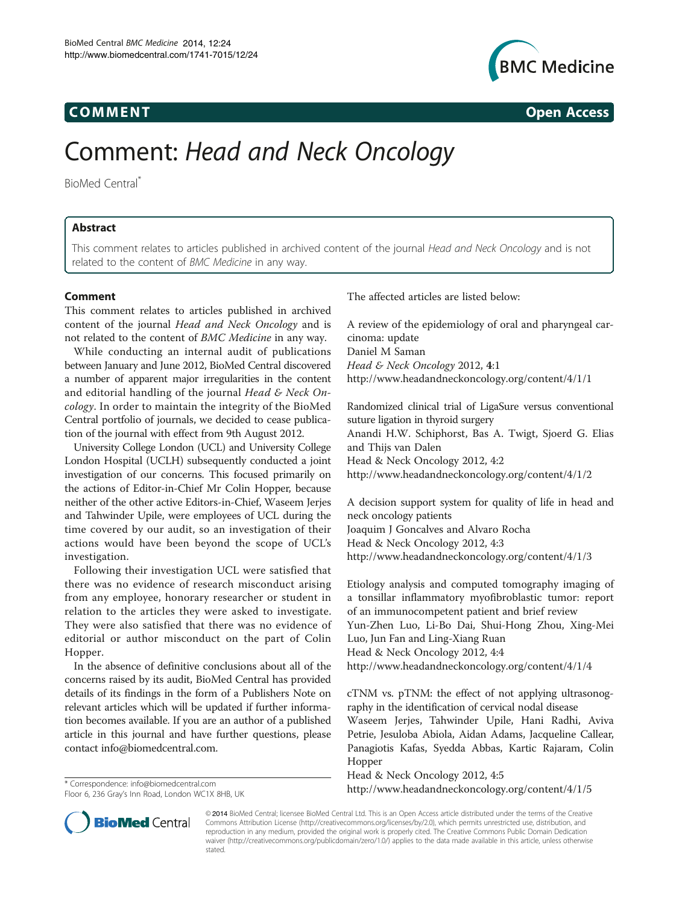## **COMMENT** COMMENT COMMENT  $\sim$



# Comment: Head and Neck Oncology

BioMed Central\*

### Abstract

This comment relates to articles published in archived content of the journal Head and Neck Oncology and is not related to the content of BMC Medicine in any way.

#### Comment

This comment relates to articles published in archived content of the journal Head and Neck Oncology and is not related to the content of BMC Medicine in any way.

While conducting an internal audit of publications between January and June 2012, BioMed Central discovered a number of apparent major irregularities in the content and editorial handling of the journal Head  $\&$  Neck Oncology. In order to maintain the integrity of the BioMed Central portfolio of journals, we decided to cease publication of the journal with effect from 9th August 2012.

University College London (UCL) and University College London Hospital (UCLH) subsequently conducted a joint investigation of our concerns. This focused primarily on the actions of Editor-in-Chief Mr Colin Hopper, because neither of the other active Editors-in-Chief, Waseem Jerjes and Tahwinder Upile, were employees of UCL during the time covered by our audit, so an investigation of their actions would have been beyond the scope of UCL's investigation.

Following their investigation UCL were satisfied that there was no evidence of research misconduct arising from any employee, honorary researcher or student in relation to the articles they were asked to investigate. They were also satisfied that there was no evidence of editorial or author misconduct on the part of Colin Hopper.

In the absence of definitive conclusions about all of the concerns raised by its audit, BioMed Central has provided details of its findings in the form of a Publishers Note on relevant articles which will be updated if further information becomes available. If you are an author of a published article in this journal and have further questions, please contact info@biomedcentral.com.

Floor 6, 236 Gray's Inn Road, London WC1X 8HB, UK

The affected articles are listed below:

A review of the epidemiology of oral and pharyngeal carcinoma: update Daniel M Saman Head & Neck Oncology 2012, 4:1 <http://www.headandneckoncology.org/content/4/1/1>

Randomized clinical trial of LigaSure versus conventional suture ligation in thyroid surgery Anandi H.W. Schiphorst, Bas A. Twigt, Sjoerd G. Elias and Thijs van Dalen Head & Neck Oncology 2012, 4:2 <http://www.headandneckoncology.org/content/4/1/2>

A decision support system for quality of life in head and neck oncology patients Joaquim J Goncalves and Alvaro Rocha Head & Neck Oncology 2012, 4:3 <http://www.headandneckoncology.org/content/4/1/3>

Etiology analysis and computed tomography imaging of a tonsillar inflammatory myofibroblastic tumor: report of an immunocompetent patient and brief review Yun-Zhen Luo, Li-Bo Dai, Shui-Hong Zhou, Xing-Mei Luo, Jun Fan and Ling-Xiang Ruan Head & Neck Oncology 2012, 4:4 <http://www.headandneckoncology.org/content/4/1/4>

cTNM vs. pTNM: the effect of not applying ultrasonography in the identification of cervical nodal disease Waseem Jerjes, Tahwinder Upile, Hani Radhi, Aviva Petrie, Jesuloba Abiola, Aidan Adams, Jacqueline Callear, Panagiotis Kafas, Syedda Abbas, Kartic Rajaram, Colin Hopper

Head & Neck Oncology 2012, 4:5

\* Correspondence: [info@biomedcentral.com](mailto:info@biomedcentral.com)<br>Floor 6.236 Grav's Inn Boad London WC1V 8HB LIK



© 2014 BioMed Central; licensee BioMed Central Ltd. This is an Open Access article distributed under the terms of the Creative Commons Attribution License [\(http://creativecommons.org/licenses/by/2.0\)](http://creativecommons.org/licenses/by/2.0), which permits unrestricted use, distribution, and reproduction in any medium, provided the original work is properly cited. The Creative Commons Public Domain Dedication waiver [\(http://creativecommons.org/publicdomain/zero/1.0/\)](http://creativecommons.org/publicdomain/zero/1.0/) applies to the data made available in this article, unless otherwise stated.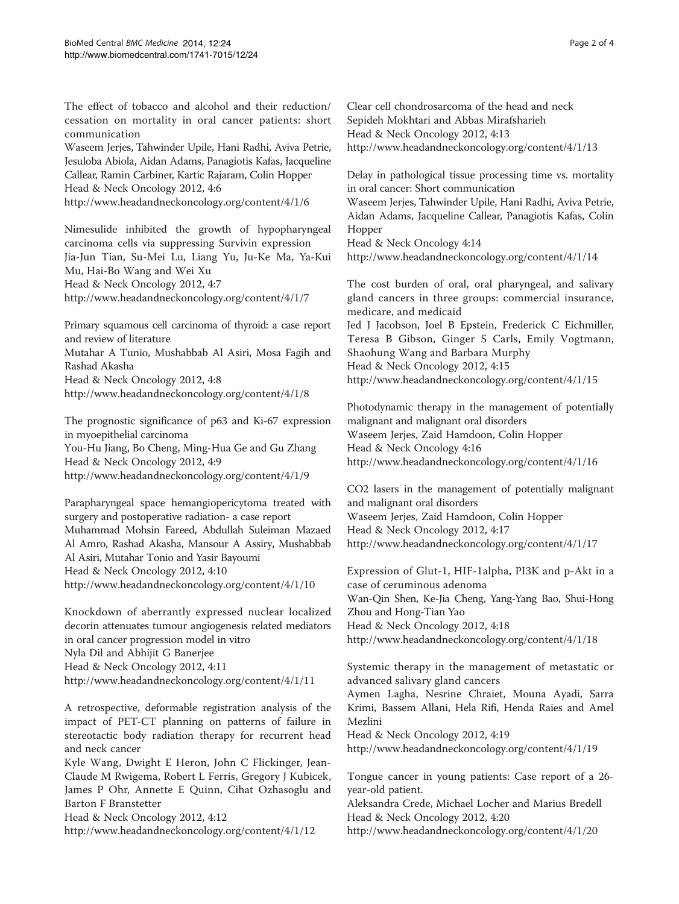The effect of tobacco and alcohol and their reduction/ cessation on mortality in oral cancer patients: short communication

Waseem Jerjes, Tahwinder Upile, Hani Radhi, Aviva Petrie, Jesuloba Abiola, Aidan Adams, Panagiotis Kafas, Jacqueline Callear, Ramin Carbiner, Kartic Rajaram, Colin Hopper Head & Neck Oncology 2012, 4:6 <http://www.headandneckoncology.org/content/4/1/6>

Nimesulide inhibited the growth of hypopharyngeal carcinoma cells via suppressing Survivin expression Jia-Jun Tian, Su-Mei Lu, Liang Yu, Ju-Ke Ma, Ya-Kui Mu, Hai-Bo Wang and Wei Xu Head & Neck Oncology 2012, 4:7

<http://www.headandneckoncology.org/content/4/1/7>

Primary squamous cell carcinoma of thyroid: a case report and review of literature Mutahar A Tunio, Mushabbab Al Asiri, Mosa Fagih and Rashad Akasha

Head & Neck Oncology 2012, 4:8

<http://www.headandneckoncology.org/content/4/1/8>

The prognostic significance of p63 and Ki-67 expression in myoepithelial carcinoma You-Hu Jiang, Bo Cheng, Ming-Hua Ge and Gu Zhang Head & Neck Oncology 2012, 4:9 <http://www.headandneckoncology.org/content/4/1/9>

Parapharyngeal space hemangiopericytoma treated with surgery and postoperative radiation- a case report Muhammad Mohsin Fareed, Abdullah Suleiman Mazaed Al Amro, Rashad Akasha, Mansour A Assiry, Mushabbab Al Asiri, Mutahar Tonio and Yasir Bayoumi Head & Neck Oncology 2012, 4:10 <http://www.headandneckoncology.org/content/4/1/10>

Knockdown of aberrantly expressed nuclear localized decorin attenuates tumour angiogenesis related mediators in oral cancer progression model in vitro Nyla Dil and Abhijit G Banerjee Head & Neck Oncology 2012, 4:11 <http://www.headandneckoncology.org/content/4/1/11>

A retrospective, deformable registration analysis of the impact of PET-CT planning on patterns of failure in stereotactic body radiation therapy for recurrent head and neck cancer

Kyle Wang, Dwight E Heron, John C Flickinger, Jean-Claude M Rwigema, Robert L Ferris, Gregory J Kubicek, James P Ohr, Annette E Quinn, Cihat Ozhasoglu and Barton F Branstetter

Head & Neck Oncology 2012, 4:12

<http://www.headandneckoncology.org/content/4/1/12>

Clear cell chondrosarcoma of the head and neck Sepideh Mokhtari and Abbas Mirafsharieh Head & Neck Oncology 2012, 4:13 <http://www.headandneckoncology.org/content/4/1/13>

Delay in pathological tissue processing time vs. mortality in oral cancer: Short communication

Waseem Jerjes, Tahwinder Upile, Hani Radhi, Aviva Petrie, Aidan Adams, Jacqueline Callear, Panagiotis Kafas, Colin Hopper

Head & Neck Oncology 4:14 <http://www.headandneckoncology.org/content/4/1/14>

The cost burden of oral, oral pharyngeal, and salivary gland cancers in three groups: commercial insurance, medicare, and medicaid

Jed J Jacobson, Joel B Epstein, Frederick C Eichmiller, Teresa B Gibson, Ginger S Carls, Emily Vogtmann, Shaohung Wang and Barbara Murphy Head & Neck Oncology 2012, 4:15 <http://www.headandneckoncology.org/content/4/1/15>

Photodynamic therapy in the management of potentially malignant and malignant oral disorders Waseem Jerjes, Zaid Hamdoon, Colin Hopper Head & Neck Oncology 4:16 <http://www.headandneckoncology.org/content/4/1/16>

CO2 lasers in the management of potentially malignant and malignant oral disorders Waseem Jerjes, Zaid Hamdoon, Colin Hopper Head & Neck Oncology 2012, 4:17 <http://www.headandneckoncology.org/content/4/1/17>

Expression of Glut-1, HIF-1alpha, PI3K and p-Akt in a case of ceruminous adenoma Wan-Qin Shen, Ke-Jia Cheng, Yang-Yang Bao, Shui-Hong Zhou and Hong-Tian Yao Head & Neck Oncology 2012, 4:18 <http://www.headandneckoncology.org/content/4/1/18>

Systemic therapy in the management of metastatic or advanced salivary gland cancers

Aymen Lagha, Nesrine Chraiet, Mouna Ayadi, Sarra Krimi, Bassem Allani, Hela Rifi, Henda Raies and Amel Mezlini

Head & Neck Oncology 2012, 4:19

<http://www.headandneckoncology.org/content/4/1/19>

Tongue cancer in young patients: Case report of a 26 year-old patient.

Aleksandra Crede, Michael Locher and Marius Bredell Head & Neck Oncology 2012, 4:20

<http://www.headandneckoncology.org/content/4/1/20>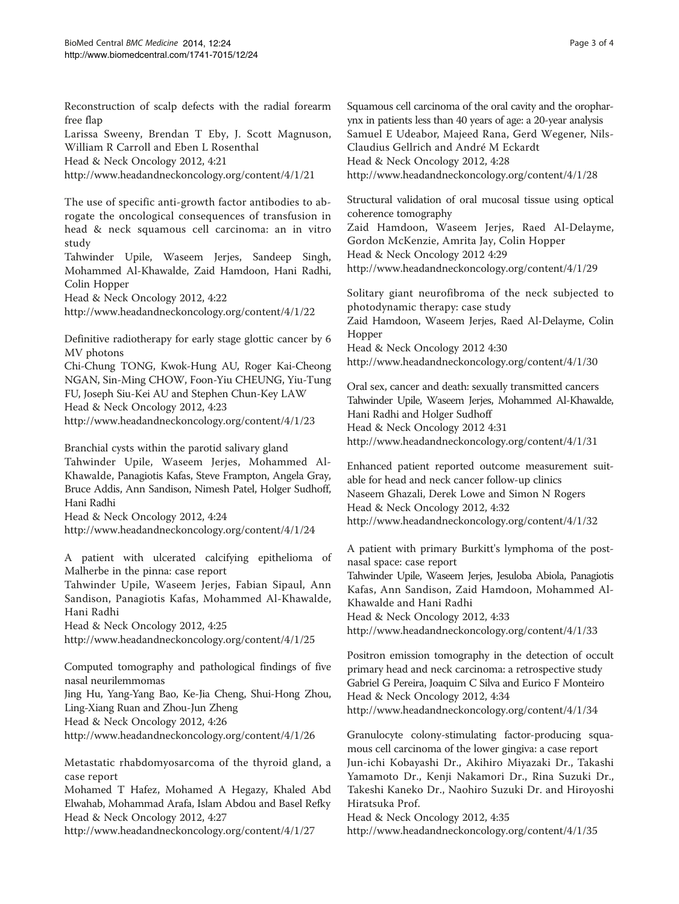Reconstruction of scalp defects with the radial forearm free flap

Larissa Sweeny, Brendan T Eby, J. Scott Magnuson, William R Carroll and Eben L Rosenthal

Head & Neck Oncology 2012, 4:21

<http://www.headandneckoncology.org/content/4/1/21>

The use of specific anti-growth factor antibodies to abrogate the oncological consequences of transfusion in head & neck squamous cell carcinoma: an in vitro study

Tahwinder Upile, Waseem Jerjes, Sandeep Singh, Mohammed Al-Khawalde, Zaid Hamdoon, Hani Radhi, Colin Hopper

Head & Neck Oncology 2012, 4:22

<http://www.headandneckoncology.org/content/4/1/22>

Definitive radiotherapy for early stage glottic cancer by 6 MV photons

Chi-Chung TONG, Kwok-Hung AU, Roger Kai-Cheong NGAN, Sin-Ming CHOW, Foon-Yiu CHEUNG, Yiu-Tung FU, Joseph Siu-Kei AU and Stephen Chun-Key LAW Head & Neck Oncology 2012, 4:23 <http://www.headandneckoncology.org/content/4/1/23>

Branchial cysts within the parotid salivary gland Tahwinder Upile, Waseem Jerjes, Mohammed Al-Khawalde, Panagiotis Kafas, Steve Frampton, Angela Gray, Bruce Addis, Ann Sandison, Nimesh Patel, Holger Sudhoff, Hani Radhi

Head & Neck Oncology 2012, 4:24

<http://www.headandneckoncology.org/content/4/1/24>

A patient with ulcerated calcifying epithelioma of Malherbe in the pinna: case report

Tahwinder Upile, Waseem Jerjes, Fabian Sipaul, Ann Sandison, Panagiotis Kafas, Mohammed Al-Khawalde, Hani Radhi

Head & Neck Oncology 2012, 4:25

<http://www.headandneckoncology.org/content/4/1/25>

Computed tomography and pathological findings of five nasal neurilemmomas

Jing Hu, Yang-Yang Bao, Ke-Jia Cheng, Shui-Hong Zhou, Ling-Xiang Ruan and Zhou-Jun Zheng

Head & Neck Oncology 2012, 4:26

<http://www.headandneckoncology.org/content/4/1/26>

Metastatic rhabdomyosarcoma of the thyroid gland, a case report

Mohamed T Hafez, Mohamed A Hegazy, Khaled Abd Elwahab, Mohammad Arafa, Islam Abdou and Basel Refky Head & Neck Oncology 2012, 4:27

<http://www.headandneckoncology.org/content/4/1/27>

Squamous cell carcinoma of the oral cavity and the oropharynx in patients less than 40 years of age: a 20-year analysis Samuel E Udeabor, Majeed Rana, Gerd Wegener, Nils-

Claudius Gellrich and André M Eckardt

Head & Neck Oncology 2012, 4:28

<http://www.headandneckoncology.org/content/4/1/28>

Structural validation of oral mucosal tissue using optical coherence tomography

Zaid Hamdoon, Waseem Jerjes, Raed Al-Delayme, Gordon McKenzie, Amrita Jay, Colin Hopper

Head & Neck Oncology 2012 4:29

<http://www.headandneckoncology.org/content/4/1/29>

Solitary giant neurofibroma of the neck subjected to photodynamic therapy: case study

Zaid Hamdoon, Waseem Jerjes, Raed Al-Delayme, Colin Hopper

Head & Neck Oncology 2012 4:30

<http://www.headandneckoncology.org/content/4/1/30>

Oral sex, cancer and death: sexually transmitted cancers Tahwinder Upile, Waseem Jerjes, Mohammed Al-Khawalde, Hani Radhi and Holger Sudhoff Head & Neck Oncology 2012 4:31 <http://www.headandneckoncology.org/content/4/1/31>

Enhanced patient reported outcome measurement suitable for head and neck cancer follow-up clinics Naseem Ghazali, Derek Lowe and Simon N Rogers Head & Neck Oncology 2012, 4:32 <http://www.headandneckoncology.org/content/4/1/32>

A patient with primary Burkitt's lymphoma of the postnasal space: case report

Tahwinder Upile, Waseem Jerjes, Jesuloba Abiola, Panagiotis Kafas, Ann Sandison, Zaid Hamdoon, Mohammed Al-Khawalde and Hani Radhi

Head & Neck Oncology 2012, 4:33

<http://www.headandneckoncology.org/content/4/1/33>

Positron emission tomography in the detection of occult primary head and neck carcinoma: a retrospective study Gabriel G Pereira, Joaquim C Silva and Eurico F Monteiro Head & Neck Oncology 2012, 4:34 <http://www.headandneckoncology.org/content/4/1/34>

Granulocyte colony-stimulating factor-producing squamous cell carcinoma of the lower gingiva: a case report Jun-ichi Kobayashi Dr., Akihiro Miyazaki Dr., Takashi Yamamoto Dr., Kenji Nakamori Dr., Rina Suzuki Dr., Takeshi Kaneko Dr., Naohiro Suzuki Dr. and Hiroyoshi Hiratsuka Prof.

Head & Neck Oncology 2012, 4:35

<http://www.headandneckoncology.org/content/4/1/35>